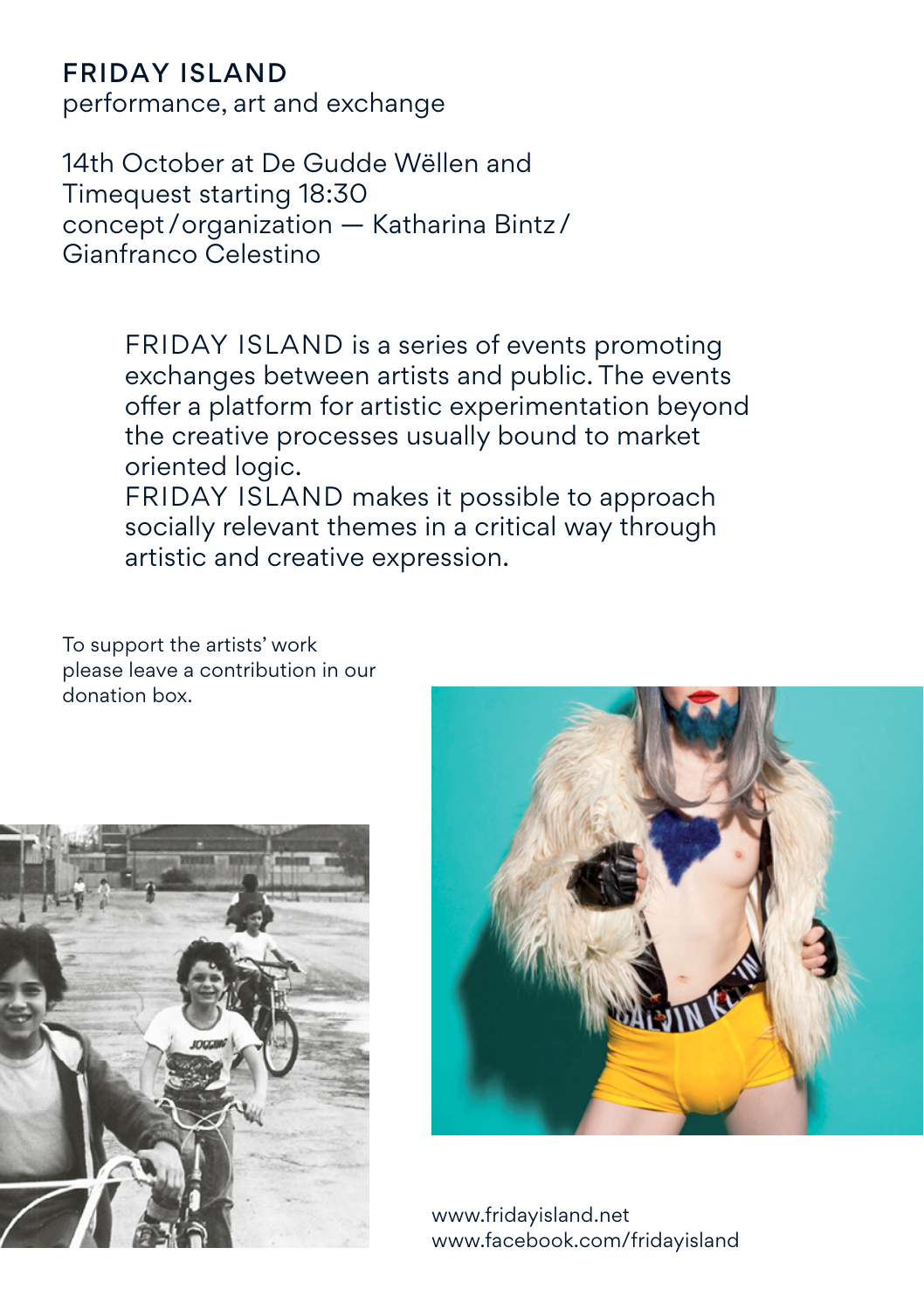### Friday Island

performance, art and exchange

14th October at De Gudde Wëllen and Timequest starting 18:30 concept /organization — Katharina Bintz / Gianfranco Celestino

> FRIDAY ISLAND is a series of events promoting exchanges between artists and public. The events offer a platform for artistic experimentation beyond the creative processes usually bound to market oriented logic.

FRIDAY ISLAND makes it possible to approach socially relevant themes in a critical way through artistic and creative expression.

To support the artists' work please leave a contribution in our donation box.





www.fridayisland.net www.facebook.com/fridayisland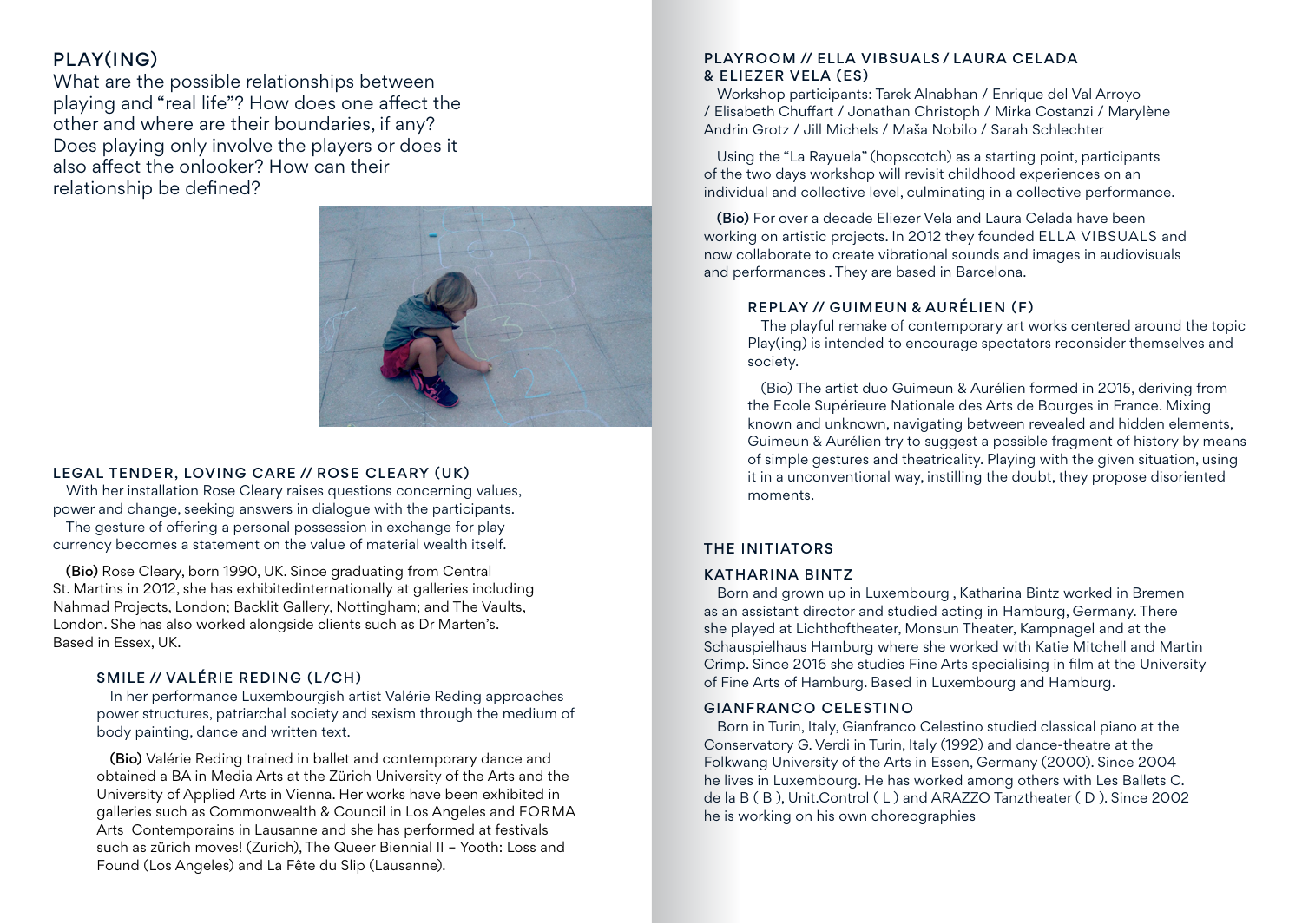# PLAY(ING)

What are the possible relationships between playing and "real life"? How does one affect the other and where are their boundaries, if any? Does playing only involve the players or does it also affect the onlooker? How can their relationship be defined?



#### Legal Tender, Loving Care // Rose Cleary (UK)

With her installation Rose Cleary raises questions concerning values, power and change, seeking answers in dialogue with the participants.

The gesture of offering a personal possession in exchange for play currency becomes a statement on the value of material wealth itself.

(Bio) Rose Cleary, born 1990, UK. Since graduating from Central St. Martins in 2012, she has exhibitedinternationally at galleries including Nahmad Projects, London; Backlit Gallery, Nottingham; and The Vaults, London. She has also worked alongside clients such as Dr Marten's. Based in Essex, UK.

### Smile // Valérie Reding (L/CH)

In her performance Luxembourgish artist Valérie Reding approaches power structures, patriarchal society and sexism through the medium of body painting, dance and written text.

(Bio) Valérie Reding trained in ballet and contemporary dance and obtained a BA in Media Arts at the Zürich University of the Arts and the University of Applied Arts in Vienna. Her works have been exhibited in galleries such as Commonwealth & Council in Los Angeles and FORMA Arts Contemporains in Lausanne and she has performed at festivals such as zürich moves! (Zurich), The Queer Biennial II – Yooth: Loss and Found (Los Angeles) and La Fête du Slip (Lausanne).

### Playroom // Ella Vibsuals / Laura Celada & Eliezer Vela (ES)

Workshop participants: Tarek Alnabhan / Enrique del Val Arroyo / Elisabeth Chuffart / Jonathan Christoph / Mirka Costanzi / Marylène Andrin Grotz / Jill Michels / Maša Nobilo / Sarah Schlechter

Using the "La Rayuela" (hopscotch) as a starting point, participants of the two days workshop will revisit childhood experiences on an individual and collective level, culminating in a collective performance.

(Bio) For over a decade Eliezer Vela and Laura Celada have been working on artistic projects. In 2012 they founded ELLA VIBSUALS and now collaborate to create vibrational sounds and images in audiovisuals and performances . They are based in Barcelona.

### Replay // Guimeun & Aurélien (F)

The playful remake of contemporary art works centered around the topic Play(ing) is intended to encourage spectators reconsider themselves and society.

(Bio) The artist duo Guimeun & Aurélien formed in 2015, deriving from the Ecole Supérieure Nationale des Arts de Bourges in France. Mixing known and unknown, navigating between revealed and hidden elements, Guimeun & Aurélien try to suggest a possible fragment of history by means of simple gestures and theatricality. Playing with the given situation, using it in a unconventional way, instilling the doubt, they propose disoriented moments.

### The Initiators

#### Katharina Bintz

Born and grown up in Luxembourg , Katharina Bintz worked in Bremen as an assistant director and studied acting in Hamburg, Germany. There she played at Lichthoftheater, Monsun Theater, Kampnagel and at the Schauspielhaus Hamburg where she worked with Katie Mitchell and Martin Crimp. Since 2016 she studies Fine Arts specialising in film at the University of Fine Arts of Hamburg. Based in Luxembourg and Hamburg.

#### Gianfranco Celestino

Born in Turin, Italy, Gianfranco Celestino studied classical piano at the Conservatory G. Verdi in Turin, Italy (1992) and dance-theatre at the Folkwang University of the Arts in Essen, Germany (2000). Since 2004 he lives in Luxembourg. He has worked among others with Les Ballets C. de la B ( B ), Unit.Control ( L ) and ARAZZO Tanztheater ( D ). Since 2002 he is working on his own choreographies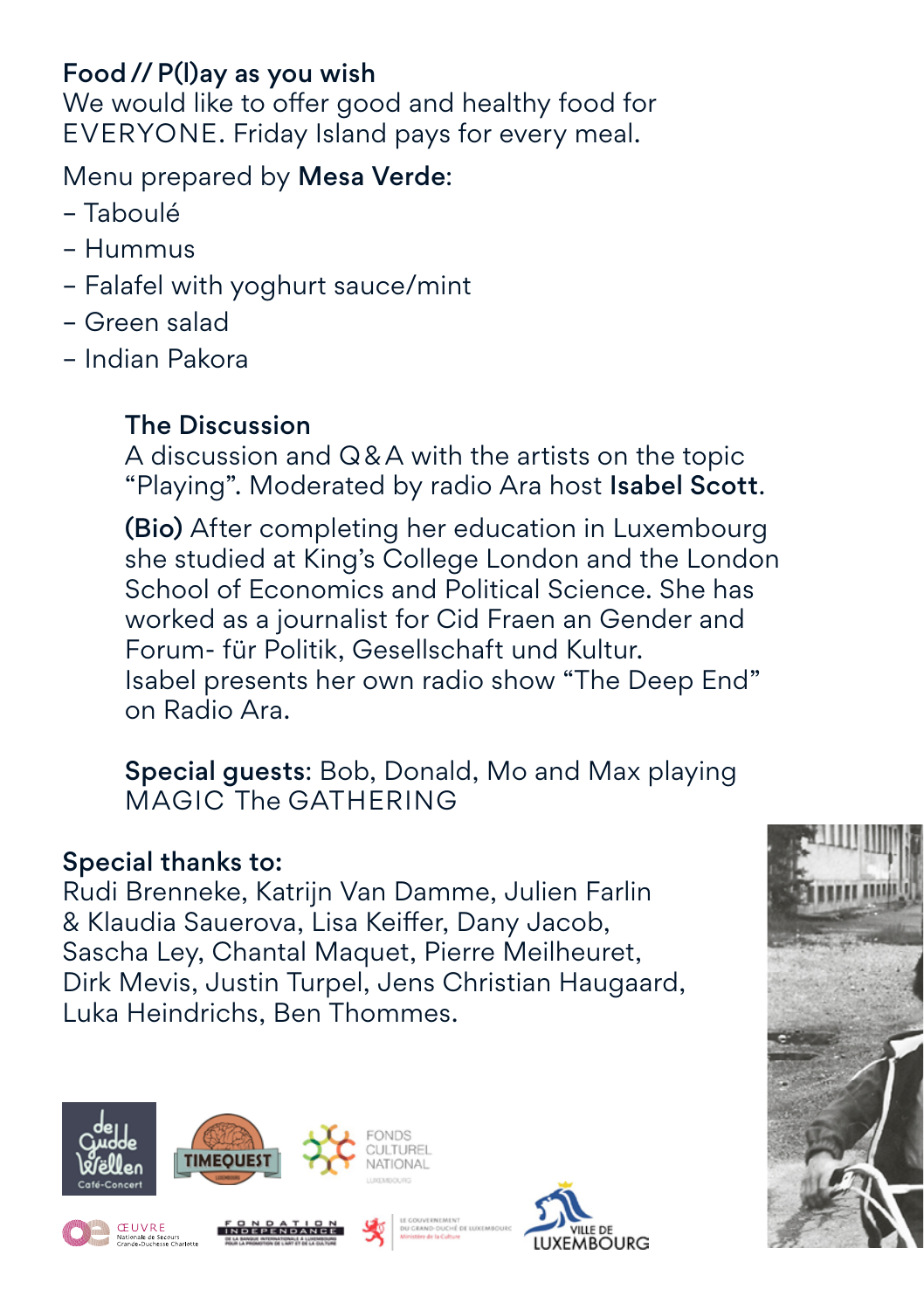# Food//P(l)ay as you wish

We would like to offer good and healthy food for EVERYONE. Friday Island pays for every meal.

# Menu prepared by Mesa Verde:

- Taboulé
- Hummus
- Falafel with yoghurt sauce/mint
- Green salad
- Indian Pakora

# The Discussion

A discussion and Q&A with the artists on the topic "Playing". Moderated by radio Ara host Isabel Scott.

(Bio) After completing her education in Luxembourg she studied at King's College London and the London School of Economics and Political Science. She has worked as a journalist for Cid Fraen an Gender and Forum- für Politik, Gesellschaft und Kultur. Isabel presents her own radio show "The Deep End" on Radio Ara.

Special guests: Bob, Donald, Mo and Max playing MAGIC The GATHERING

### Special thanks to:

Rudi Brenneke, Katrijn Van Damme, Julien Farlin & Klaudia Sauerova, Lisa Keiffer, Dany Jacob, Sascha Ley, Chantal Maquet, Pierre Meilheuret, Dirk Mevis, Justin Turpel, Jens Christian Haugaard, Luka Heindrichs, Ben Thommes.